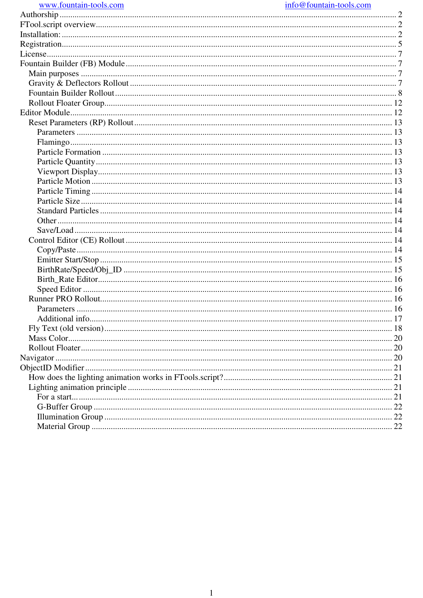| www.fountain-tools.com |  |
|------------------------|--|
|                        |  |

#### info@fountain-tools.com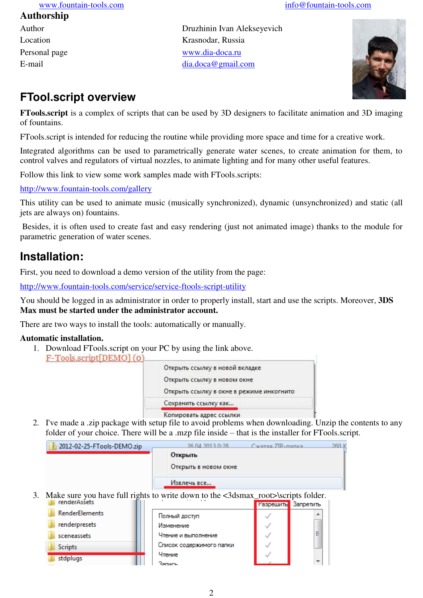#### **Authorship**

- 
- Author Druzhinin Ivan Alekseyevich Location Krasnodar, Russia Personal page [www.dia-doca.ru](http://www.dia-doca.ru/) E-mail [dia.doca@gmail.com](mailto:dia.doca@gmail.com)



# **FTool.script overview**

**FTools.script** is a complex of scripts that can be used by 3D designers to facilitate animation and 3D imaging of fountains.

FTools.script is intended for reducing the routine while providing more space and time for a creative work.

Integrated algorithms can be used to parametrically generate water scenes, to create animation for them, to control valves and regulators of virtual nozzles, to animate lighting and for many other useful features.

Follow this link to view some work samples made with FTools.scripts:

<http://www.fountain-tools.com/gallery>

This utility can be used to animate music (musically synchronized), dynamic (unsynchronized) and static (all jets are always on) fountains.

 Besides, it is often used to create fast and easy rendering (just not animated image) thanks to the module for parametric generation of water scenes.

# **Installation:**

First, you need to download a demo version of the utility from the page:

<http://www.fountain-tools.com/service/service-ftools-script-utility>

You should be logged in as administrator in order to properly install, start and use the scripts. Moreover, **3DS Max must be started under the administrator account.**

There are two ways to install the tools: automatically or manually.

#### **Automatic installation.**

1. Download FTools.script on your PC by using the link above. F-Tools.script[DEMO](0)

| Открыть ссылку в новой вкладке           |
|------------------------------------------|
| Открыть ссылку в новом окне              |
| Открыть ссылку в окне в режиме инкогнито |
| Сохранить ссылку как                     |
| Копировать адрес ссылки                  |

2. I've made a .zip package with setup file to avoid problems when downloading. Unzip the contents to any folder of your choice. There will be a .mzp file inside – that is the installer for FTools.script.

| 2012-02-25-FTools-DEMO.zip                                                                           | 26.04.2013.0:28          | Carazag 7IP-nanka | 260 K     |
|------------------------------------------------------------------------------------------------------|--------------------------|-------------------|-----------|
|                                                                                                      | Открыть                  |                   |           |
|                                                                                                      | Открыть в новом окне     |                   |           |
|                                                                                                      | Извлечь все              |                   |           |
| 3. Make sure you have full rights to write down to the <3dsmax_root>\scripts folder.<br>renderAssets |                          |                   |           |
|                                                                                                      |                          | Разрешить         | Запретить |
| <b>RenderElements</b>                                                                                | Полный доступ            |                   |           |
| renderpresets                                                                                        | Изменение                |                   |           |
| sceneassets                                                                                          | Чтение и выполнение      |                   | ።         |
| <b>Scripts</b>                                                                                       | Список содержимого папки |                   |           |
| stdplugs                                                                                             | Чтение                   |                   |           |
|                                                                                                      | Запись                   |                   | ٠         |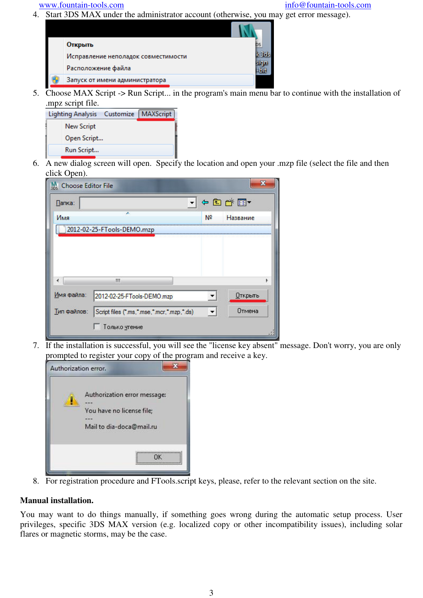4. Start 3DS MAX under the administrator account (otherwise, you may get error message).



5. Choose MAX Script -> Run Script... in the program's main menu bar to continue with the installation of mpz script file.

| $\cdots$                 |           |                  |
|--------------------------|-----------|------------------|
| <b>Lighting Analysis</b> | Customize | <b>MAXScript</b> |
| New Script               |           |                  |
| Open Script              |           |                  |
| Run Script               |           |                  |
|                          |           |                  |

6. A new dialog screen will open. Specify the location and open your .mzp file (select the file and then click Open).

| <b>Choose Editor File</b> |                                            |                          |                |
|---------------------------|--------------------------------------------|--------------------------|----------------|
| Папка:                    |                                            |                          | ←白び囲▼          |
| Имя                       | ×                                          | N <sup>o</sup>           | Название       |
|                           | 2012-02-25-FTools-DEMO.mzp                 |                          |                |
|                           |                                            |                          |                |
|                           |                                            |                          |                |
|                           |                                            |                          |                |
|                           | ш                                          |                          |                |
| Имя файла:                | 2012-02-25-FTools-DEMO.mzp                 |                          | <b>Открыть</b> |
| Тип файлов:               | Script files (".ms,".mse,".mcr,".mzp,".ds) | $\overline{\phantom{a}}$ | Отмена         |
|                           | Только утение                              |                          |                |

7. If the installation is successful, you will see the "license key absent" message. Don't worry, you are only prompted to register your copy of the program and receive a key.



8. For registration procedure and FTools.script keys, please, refer to the relevant section on the site.

#### **Manual installation.**

You may want to do things manually, if something goes wrong during the automatic setup process. User privileges, specific 3DS MAX version (e.g. localized copy or other incompatibility issues), including solar flares or magnetic storms, may be the case.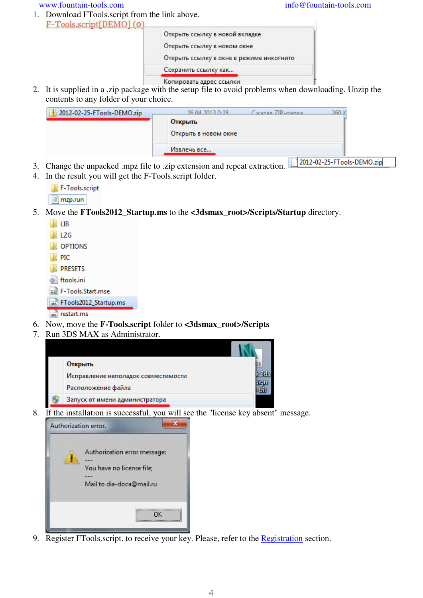1. Download FTools.script from the link above. F-Tools.script[DEMO](0)

| Открыть ссылку в новой вкладке           |  |
|------------------------------------------|--|
| Открыть ссылку в новом окне              |  |
| Открыть ссылку в окне в режиме инкогнито |  |
| Сохранить ссылку как                     |  |
| Копировать адрес ссылки                  |  |

2. It is supplied in a .zip package with the setup file to avoid problems when downloading. Unzip the contents to any folder of your choice.

| 2012-02-25-FTools-DEMO.zip | Сжатая 710-папка.<br>26.04.2013.0-28 | 260.                             |  |
|----------------------------|--------------------------------------|----------------------------------|--|
|                            | Открыть                              |                                  |  |
|                            | Открыть в новом окне                 |                                  |  |
|                            | Извлечь все                          |                                  |  |
|                            |                                      | $12012.02.25.57$ code. DEMO sink |  |

- 3. Change the unpacked .mpz file to .zip extension and repeat extraction. 2012-02-25-FTools-DEMO.zip
- 4. In the result you will get the F-Tools.script folder.

| F-Tools.script         |  |
|------------------------|--|
| $\blacksquare$ mzp.run |  |

5. Move the **FTools2012\_Startup.ms** to the **<3dsmax\_root>/Scripts/Startup** directory.

| 1 IB                     |
|--------------------------|
| 117G                     |
| <b>NOPTIONS</b>          |
| III PIC                  |
| <b>IN PRESETS</b>        |
| ftools.ini               |
| we F-Tools.Start.mse     |
| Ms FTools2012_Startup.ms |

MS restart.ms

- 6. Now, move the **F-Tools.script** folder to **<3dsmax\_root>/Scripts**
- 7. Run 3DS MAX as Administrator.

| Открыть                             |  |
|-------------------------------------|--|
| Исправление неполадок совместимости |  |
| Расположение файла                  |  |
| Запуск от имени администратора      |  |

8. If the installation is successful, you will see the "license key absent" message.



9. Register FTools.script. to receive your key. Please, refer to the Registration section.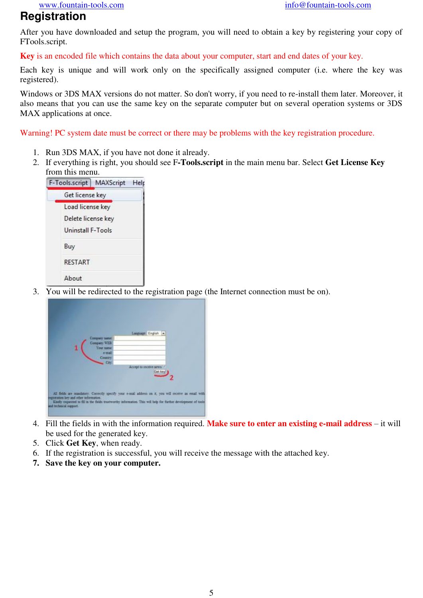# **Registration**

After you have downloaded and setup the program, you will need to obtain a key by registering your copy of FTools.script.

**Key** is an encoded file which contains the data about your computer, start and end dates of your key.

Each key is unique and will work only on the specifically assigned computer (i.e. where the key was registered).

Windows or 3DS MAX versions do not matter. So don't worry, if you need to re-install them later. Moreover, it also means that you can use the same key on the separate computer but on several operation systems or 3DS MAX applications at once.

Warning! PC system date must be correct or there may be problems with the key registration procedure.

- 1. Run 3DS MAX, if you have not done it already.
- 2. If everything is right, you should see F**-Tools.script** in the main menu bar. Select **Get License Key** from this menu.



3. You will be redirected to the registration page (the Internet connection must be on).

|                                                                                                       | Company name:             | Language English       |  |
|-------------------------------------------------------------------------------------------------------|---------------------------|------------------------|--|
|                                                                                                       | Company WEB<br>Your name: |                        |  |
|                                                                                                       | + mail                    |                        |  |
|                                                                                                       | Country.<br>Cov           |                        |  |
|                                                                                                       |                           | Accept to receive news |  |
|                                                                                                       |                           | Get.ke                 |  |
|                                                                                                       |                           |                        |  |
| All fields are mandatory. Correctly specify your e-mail address on it, you will receive an email with |                           |                        |  |

- 4. Fill the fields in with the information required. **Make sure to enter an existing e-mail address** it will be used for the generated key.
- 5. Click **Get Key**, when ready.
- 6. If the registration is successful, you will receive the message with the attached key.
- **7. Save the key on your computer.**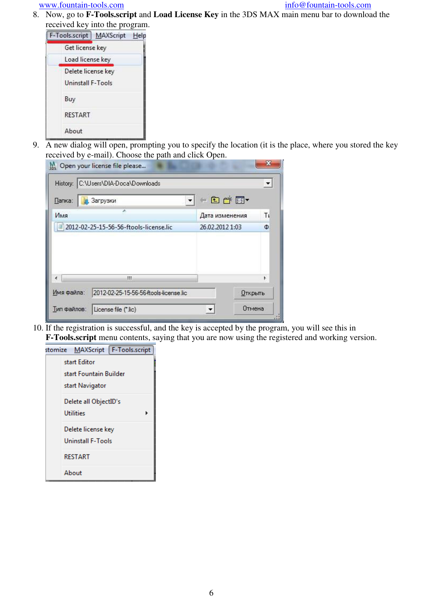8. Now, go to **F-Tools.script** and **Load License Key** in the 3DS MAX main menu bar to download the received key into the program.



9. A new dialog will open, prompting you to specify the location (it is the place, where you stored the key received by e-mail). Choose the path and click Open.

| M <sub>3DS</sub> Open your license file please<br>History: C:\Users\DIA-Doca\Downloads |                 | $\blacktriangledown$ |
|----------------------------------------------------------------------------------------|-----------------|----------------------|
| Папка:<br>Загрузки                                                                     | $-CD$ $+$ $-$   |                      |
| Имя                                                                                    | Дата изменения  | Tı                   |
| 2012-02-25-15-56-56-ftools-license.lic                                                 | 26.02.2012 1:03 | Ф                    |
| Ш                                                                                      |                 | ĸ                    |
| Имя файла:<br>2012-02-25-15-56-56-ftools-license.lic                                   | Открыть         |                      |
| Тип файлов:<br>License file (*.lic)                                                    | Отмена          |                      |

10. If the registration is successful, and the key is accepted by the program, you will see this in **F-Tools.script** menu contents, saying that you are now using the registered and working version.

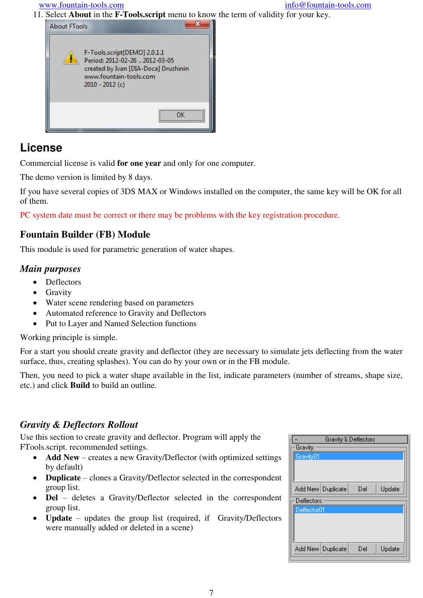11. Select **About** in the **F-Tools.script** menu to know the term of validity for your key.



# **License**

Commercial license is valid **for one year** and only for one computer.

The demo version is limited by 8 days.

If you have several copies of 3DS MAX or Windows installed on the computer, the same key will be OK for all of them.

PC system date must be correct or there may be problems with the key registration procedure.

## **Fountain Builder (FB) Module**

This module is used for parametric generation of water shapes.

## *Main purposes*

- Deflectors
- Gravity
- Water scene rendering based on parameters
- Automated reference to Gravity and Deflectors
- Put to Layer and Named Selection functions

Working principle is simple.

For a start you should create gravity and deflector (they are necessary to simulate jets deflecting from the water surface, thus, creating splashes). You can do by your own or in the FB module.

Then, you need to pick a water shape available in the list, indicate parameters (number of streams, shape size, etc.) and click **Build** to build an outline.

## *Gravity & Deflectors Rollout*

Use this section to create gravity and deflector. Program will apply the FTools.script. recommended settings.

- **Add New** creates a new Gravity/Deflector (with optimized settings) by default)
- **Duplicate** clones a Gravity/Deflector selected in the correspondent group list.
- **Del** deletes a Gravity/Deflector selected in the correspondent group list.
- **Update** updates the group list (required, if Gravity/Deflectors were manually added or deleted in a scene)

|             | <b>Gravity &amp; Deflectors</b> |     |        |
|-------------|---------------------------------|-----|--------|
| Gravity:    |                                 |     |        |
| Gravity01   |                                 |     |        |
|             |                                 |     |        |
|             |                                 |     |        |
|             |                                 |     |        |
|             | Add New   Duplicate             | Del | Update |
| Deflectors: |                                 |     |        |
|             |                                 |     |        |
|             |                                 |     |        |
| Deflector01 |                                 |     |        |
|             |                                 |     |        |
|             |                                 |     |        |
|             |                                 |     |        |
|             | Add New   Duplicate             | Del | Update |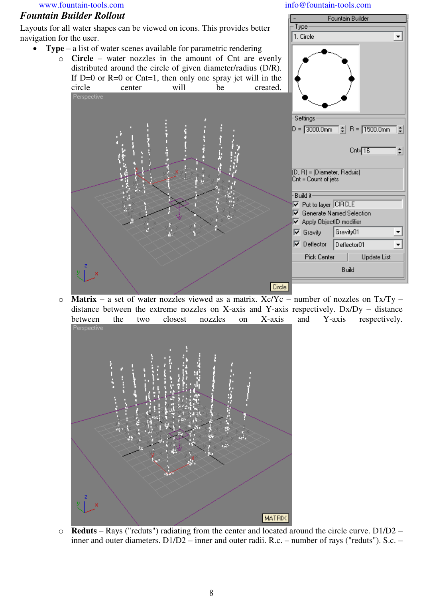#### *Fountain Builder Rollout*

Layouts for all water shapes can be viewed on icons. This provides better navigation for the user.

- **Type** a list of water scenes available for parametric rendering
	- o **Circle** water nozzles in the amount of Cnt are evenly distributed around the circle of given diameter/radius (D/R). If  $D=0$  or  $R=0$  or  $Cnt=1$ , then only one spray jet will in the circle center will be created.

J.



 $\circ$  **Matrix** – a set of water nozzles viewed as a matrix. Xc/Yc – number of nozzles on Tx/Ty – distance between the extreme nozzles on X-axis and Y-axis respectively.  $Dx/Dy - distance$ between the two closest nozzles on X-axis and Y-axis respectively.<br>Perspective



o **Reduts** – Rays ("reduts") radiating from the center and located around the circle curve. D1/D2 – inner and outer diameters. D1/D2 – inner and outer radii. R.c. – number of rays ("reduts"). S.c. –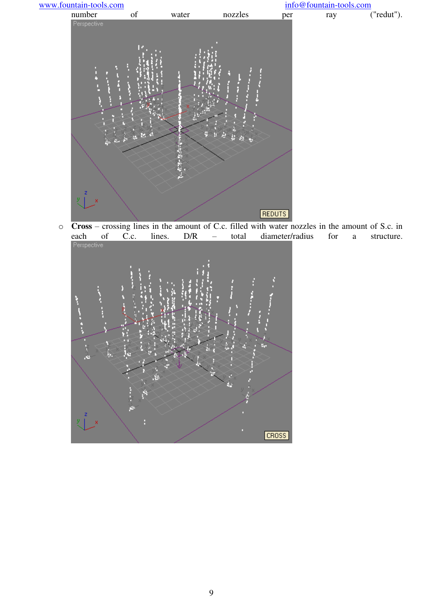

 $\overline{C}$ **Cross** – crossing lines in the amount of C.c. filled with water nozzles in the amount of S.c. in each of C.c. lines.  $D/R$  – total diameter/radius for a structure. of C.c. lines. D/R – total diameter/radius for a structure.

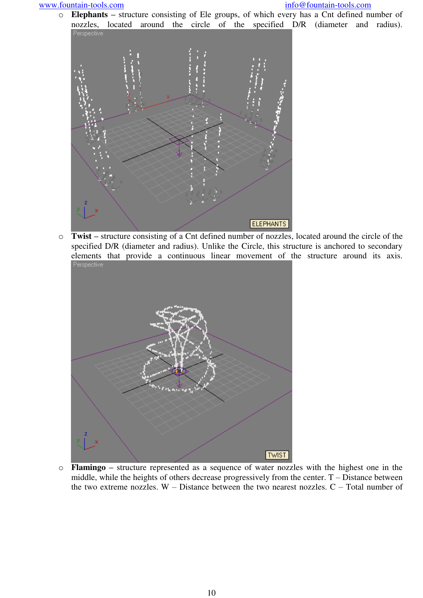o **Elephants –** structure consisting of Ele groups, of which every has a Cnt defined number of nozzles, located around the circle of the specified D/R (diameter and radius).<br>Perspective



o **Twist –** structure consisting of a Cnt defined number of nozzles, located around the circle of the specified D/R (diameter and radius). Unlike the Circle, this structure is anchored to secondary elements that provide a continuous linear movement of the structure around its axis.



o **Flamingo –** structure represented as a sequence of water nozzles with the highest one in the middle, while the heights of others decrease progressively from the center. T – Distance between the two extreme nozzles.  $W -$ Distance between the two nearest nozzles.  $C -$ Total number of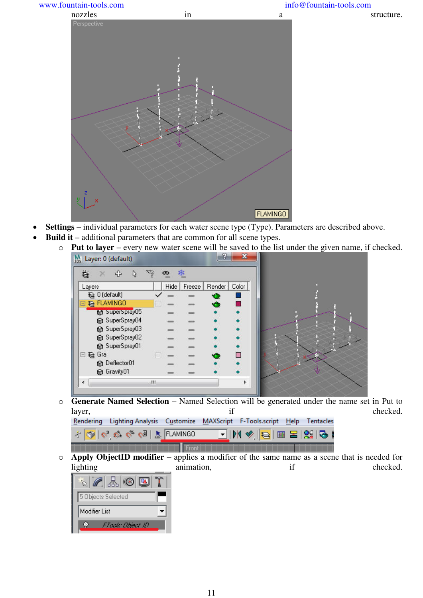

- **Settings –** individual parameters for each water scene type (Type). Parameters are described above.
- **Build it** additional parameters that are common for all scene types.
	- o **Put to layer –** every new water scene will be saved to the list under the given name, if checked.

| Layers                                |   | Hide | Freeze | Render | Color |
|---------------------------------------|---|------|--------|--------|-------|
| 월 0 (default)                         |   |      |        | Q      | ŠЭ.   |
| <b>€ FLAMINGO</b><br>Ξ                |   |      |        | ä      | 94    |
| the superspray05                      |   |      |        |        |       |
| SuperSpray04                          |   |      |        |        |       |
| SuperSpray03                          |   |      |        |        |       |
| SuperSpray02                          |   |      |        |        |       |
| SuperSpray01                          |   |      |        |        |       |
| $\boxdot$ $\widehat{\mathcal{B}}$ gla |   |      |        |        | a.    |
| <b>C</b> Deflector01                  |   |      |        |        |       |
| C Gravity01                           |   |      |        |        |       |
| ◢                                     | ш |      |        |        | ħ     |

o **Generate Named Selection –** Named Selection will be generated under the name set in Put to layer, checked.



o **Apply ObjectID modifier –** applies a modifier of the same name as a scene that is needed for lighting animation, if checked.

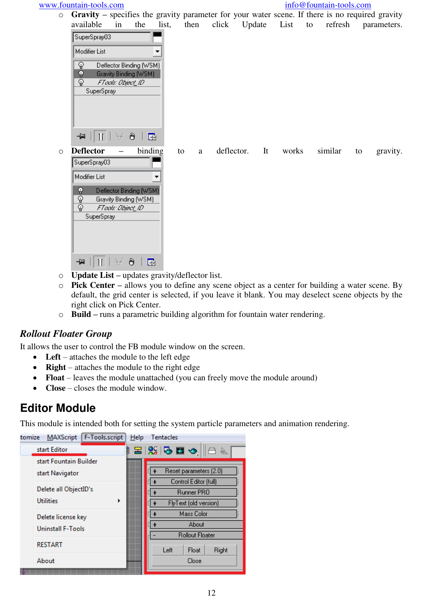#### www.fountain-tools.com info@fountain-tools.com info@fountain-tools.com

o **Gravity –** specifies the gravity parameter for your water scene. If there is no required gravity  $\frac{1}{100}$  click Undate List to

|         | avanadie                                            | m                 | $\mathbf{u}$                                     | IISt, | unen    | <b>CHCK</b> | <b>Opulle</b>    | LISU  | ιo. | reiresn |    | parameters. |
|---------|-----------------------------------------------------|-------------------|--------------------------------------------------|-------|---------|-------------|------------------|-------|-----|---------|----|-------------|
|         | SuperSpray03                                        |                   |                                                  |       |         |             |                  |       |     |         |    |             |
|         | Modifier List                                       |                   |                                                  | ▼     |         |             |                  |       |     |         |    |             |
|         | ଢ଼                                                  |                   | Deflector Binding (WSM)                          |       |         |             |                  |       |     |         |    |             |
|         | ę<br>ଢ଼ି                                            | FTools: Object_ID | Gravity Binding (WSM)                            |       |         |             |                  |       |     |         |    |             |
|         | SuperSpray                                          |                   |                                                  |       |         |             |                  |       |     |         |    |             |
|         |                                                     |                   |                                                  |       |         |             |                  |       |     |         |    |             |
|         |                                                     |                   |                                                  |       |         |             |                  |       |     |         |    |             |
|         | $   \nparallel   $<br>부                             | A,                | ð                                                | 露     |         |             |                  |       |     |         |    |             |
|         |                                                     |                   |                                                  |       |         |             |                  |       |     |         |    |             |
| $\circ$ | <b>Deflector</b><br>SuperSpray03                    | $\qquad \qquad -$ | binding                                          |       | to<br>a |             | deflector.<br>It | works |     | similar | to | gravity.    |
|         |                                                     |                   |                                                  |       |         |             |                  |       |     |         |    |             |
|         | Modifier List                                       |                   |                                                  |       |         |             |                  |       |     |         |    |             |
|         | Ŷ                                                   |                   | Deflector Binding (WSM)<br>Gravity Binding (WSM) |       |         |             |                  |       |     |         |    |             |
|         | $\frac{\widehat{\mathbb{Q}}}{\widehat{\mathbb{Q}}}$ | FTools: Object_ID |                                                  |       |         |             |                  |       |     |         |    |             |
|         | SuperSpray                                          |                   |                                                  |       |         |             |                  |       |     |         |    |             |
|         |                                                     |                   |                                                  |       |         |             |                  |       |     |         |    |             |
|         |                                                     |                   |                                                  |       |         |             |                  |       |     |         |    |             |
|         | -141                                                |                   | ð<br>露                                           |       |         |             |                  |       |     |         |    |             |

- o **Update List –** updates gravity/deflector list.
- o **Pick Center –** allows you to define any scene object as a center for building a water scene. By default, the grid center is selected, if you leave it blank. You may deselect scene objects by the right click on Pick Center.
- o **Build –** runs a parametric building algorithm for fountain water rendering.

## *Rollout Floater Group*

It allows the user to control the FB module window on the screen.

- Left attaches the module to the left edge
- **Right** attaches the module to the right edge
- Float leaves the module unattached (you can freely move the module around)
- **Close** closes the module window.

# **Editor Module**

This module is intended both for setting the system particle parameters and animation rendering.

| F-Tools.script<br><b>MAXScript</b><br>tomize | $He$ lp<br><b>Tentacles</b> |
|----------------------------------------------|-----------------------------|
| start Editor                                 | B 3 5 5 ↑ 8 B<br>I          |
| start Fountain Builder                       |                             |
| start Navigator                              | Reset parameters (2.0)      |
|                                              | Control Editor (full)       |
| Delete all ObjectID's                        | Runner PRO                  |
| <b>Utilities</b><br>Þ                        | FlyText (old version)       |
| Delete license key                           | Mass Color                  |
| <b>Uninstall F-Tools</b>                     | About                       |
|                                              | <b>Rollout Floater</b>      |
| <b>RESTART</b>                               | Left<br>Right<br>Float      |
| About                                        | Close                       |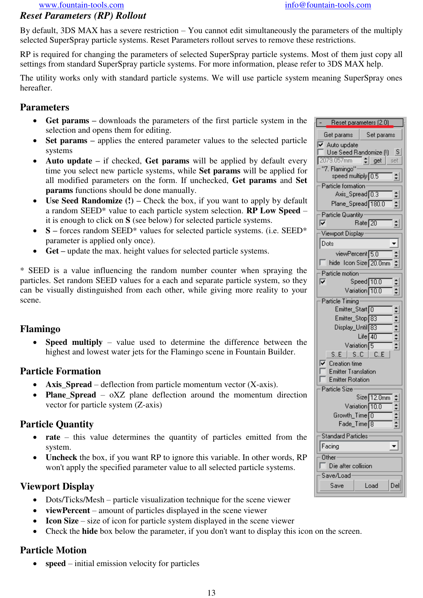## *Reset Parameters (RP) Rollout*

By default, 3DS MAX has a severe restriction – You cannot edit simultaneously the parameters of the multiply selected SuperSpray particle systems. Reset Parameters rollout serves to remove these restrictions.

RP is required for changing the parameters of selected SuperSpray particle systems. Most of them just copy all settings from standard SuperSpray particle systems. For more information, please refer to 3DS MAX help.

The utility works only with standard particle systems. We will use particle system meaning SuperSpray ones hereafter.

### **Parameters**

- **Get params –** downloads the parameters of the first particle system in the selection and opens them for editing.
- Set params applies the entered parameter values to the selected particle systems
- Auto update if checked, Get params will be applied by default every time you select new particle systems, while **Set params** will be applied for all modified parameters on the form. If unchecked, **Get params** and **Set params** functions should be done manually.
- Use Seed Randomize (!) Check the box, if you want to apply by default a random SEED\* value to each particle system selection. **RP Low Speed** – it is enough to click on **S** (see below) for selected particle systems.
- **S –** forces random SEED\* values for selected particle systems. (i.e. SEED\* parameter is applied only once).
- **Get** update the max. height values for selected particle systems.

\* SEED is a value influencing the random number counter when spraying the particles. Set random SEED values for a each and separate particle system, so they can be visually distinguished from each other, while giving more reality to your scene.

### **Flamingo**

 **Speed multiply** – value used to determine the difference between the highest and lowest water jets for the Flamingo scene in Fountain Builder.

### **Particle Formation**

- **Axis\_Spread** deflection from particle momentum vector (X-axis).
- **Plane Spread** oXZ plane deflection around the momentum direction vector for particle system (Z-axis)

### **Particle Quantity**

- **rate** this value determines the quantity of particles emitted from the system.
- **Uncheck** the box, if you want RP to ignore this variable. In other words, RP won't apply the specified parameter value to all selected particle systems.

### **Viewport Display**

- Dots/Ticks/Mesh particle visualization technique for the scene viewer
- **viewPercent** amount of particles displayed in the scene viewer
- **Icon Size** size of icon for particle system displayed in the scene viewer
- Check the **hide** box below the parameter, if you don't want to display this icon on the screen.

## **Particle Motion**

• **speed** – initial emission velocity for particles

| Reset parameters [2.0]                                            |
|-------------------------------------------------------------------|
| Set params<br>Get params                                          |
| $\overline{\mathbf{v}}$ Auto update                               |
| Use Seed Randomize (!)<br>S<br>2079.057mm                         |
| ≑∣get<br>set<br>"7. Flamingo"                                     |
| speed multiply 0.5<br>회                                           |
| Particle formation                                                |
| Axis_Spread <sup>1</sup> 0.3<br>÷                                 |
| Plane_Spread 180.0<br>÷                                           |
| Particle Quantity<br>⊽                                            |
| Rate <sub>20</sub><br>≑∣                                          |
| Viewport Display                                                  |
| Dots                                                              |
| viewPercent <sup>[5,0]</sup><br>hide Icon Size <sup>[20.0mm</sup> |
| Particle motion                                                   |
| ঢ়<br>$Speed$ 10.0                                                |
| Variation 10.0                                                    |
| Particle Timing                                                   |
| Emitter_Start <sup>1</sup> 0                                      |
| Emitter_Stop <sup>183</sup>                                       |
| Display_Until <sub>83</sub>                                       |
| $+ - + -$<br>Life $\boxed{40}$<br>Variation <sup>5</sup>          |
| SE   SC   CE                                                      |
| $\overline{\mathsf{v}}$ Creation time                             |
| <b>Emitter Translation</b>                                        |
| <b>Emitter Rotation</b>                                           |
| <b>Particle Size</b><br>Size 12.0mm                               |
| $\frac{1}{2}$<br>Variation 10.0                                   |
| Growth_Time O                                                     |
| Fade_Time <sup>18</sup>                                           |
| <b>Standard Particles</b>                                         |
| Facing                                                            |
| $0$ ther $\cdot$                                                  |
| Die after collision                                               |
| Save/Load                                                         |
| Del<br>Load<br>Save                                               |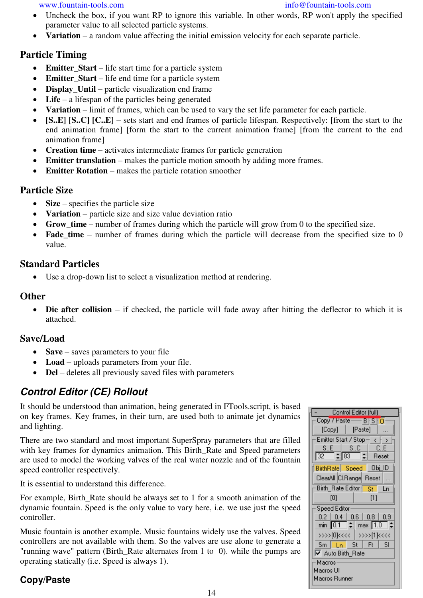- Uncheck the box, if you want RP to ignore this variable. In other words, RP won't apply the specified parameter value to all selected particle systems.
- **Variation** a random value affecting the initial emission velocity for each separate particle.

## **Particle Timing**

- **Emitter\_Start** life start time for a particle system
- **Emitter\_Start** life end time for a particle system
- **Display\_Until** particle visualization end frame
- Life a lifespan of the particles being generated
- **Variation** limit of frames, which can be used to vary the set life parameter for each particle.
- **[S..E] [S..C] [C..E]** sets start and end frames of particle lifespan. Respectively: [from the start to the end animation frame] [form the start to the current animation frame] [from the current to the end animation frame]
- **Creation time** activates intermediate frames for particle generation
- **Emitter translation** makes the particle motion smooth by adding more frames.
- **Emitter Rotation** makes the particle rotation smoother

### **Particle Size**

- **Size** specifies the particle size
- **Variation** particle size and size value deviation ratio
- Grow time number of frames during which the particle will grow from 0 to the specified size.
- Fade time number of frames during which the particle will decrease from the specified size to 0 value.

### **Standard Particles**

Use a drop-down list to select a visualization method at rendering.

### **Other**

• **Die after collision** – if checked, the particle will fade away after hitting the deflector to which it is attached.

### **Save/Load**

- **Save** saves parameters to your file
- Load uploads parameters from your file.
- **Del** deletes all previously saved files with parameters

# *Control Editor (CE) Rollout*

It should be understood than animation, being generated in FTools.script, is based on key frames. Key frames, in their turn, are used both to animate jet dynamics and lighting.

There are two standard and most important SuperSpray parameters that are filled with key frames for dynamics animation. This Birth Rate and Speed parameters are used to model the working valves of the real water nozzle and of the fountain speed controller respectively.

It is essential to understand this difference.

For example, Birth\_Rate should be always set to 1 for a smooth animation of the dynamic fountain. Speed is the only value to vary here, i.e. we use just the speed controller.

Music fountain is another example. Music fountains widely use the valves. Speed controllers are not available with them. So the valves are use alone to generate a "running wave" pattern (Birth\_Rate alternates from 1 to 0). while the pumps are operating statically (i.e. Speed is always 1).

## **Copy/Paste**

| Control Editor (full)                                                                                                                        |  |  |  |  |  |  |
|----------------------------------------------------------------------------------------------------------------------------------------------|--|--|--|--|--|--|
| Copy / Paste - B S TO                                                                                                                        |  |  |  |  |  |  |
| [Paste]<br>$[Copy] \ \  $                                                                                                                    |  |  |  |  |  |  |
| Emitter Start / Stop<br>$\rightarrow$<br>$\mathbf{\bar{}}$                                                                                   |  |  |  |  |  |  |
| SE<br>C.E<br>SC                                                                                                                              |  |  |  |  |  |  |
| $\div$ 83<br>Reset<br>32.                                                                                                                    |  |  |  |  |  |  |
| ∣ Obj_ID<br>BirthRate Speed                                                                                                                  |  |  |  |  |  |  |
| ClearAll Cl.Range Reset                                                                                                                      |  |  |  |  |  |  |
| Ln                                                                                                                                           |  |  |  |  |  |  |
| [1]<br>וסו                                                                                                                                   |  |  |  |  |  |  |
| Speed Editor                                                                                                                                 |  |  |  |  |  |  |
| $0.2$   0.4   0.6   0.8<br>0.9                                                                                                               |  |  |  |  |  |  |
|                                                                                                                                              |  |  |  |  |  |  |
| >>>>[0]<<<<   >>>>[1]<<<<                                                                                                                    |  |  |  |  |  |  |
| $Sm$ $\lfloor$ $\lfloor$ $\lfloor$ $\lfloor$ $\rfloor$ $\lfloor$ $\lfloor$ $\lfloor$ $\rfloor$ $\lfloor$ $\lfloor$ $\lfloor$ $\rfloor$<br>SI |  |  |  |  |  |  |
| V Auto Birth_Rate                                                                                                                            |  |  |  |  |  |  |
| Macros                                                                                                                                       |  |  |  |  |  |  |
| Macros Ul                                                                                                                                    |  |  |  |  |  |  |
| Macros Runner                                                                                                                                |  |  |  |  |  |  |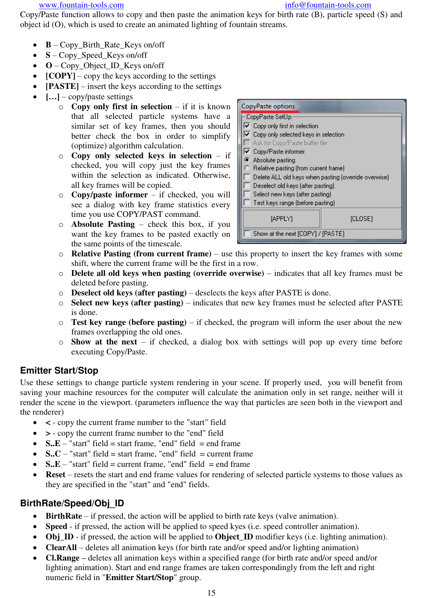www.fountain-tools.com info@fountain-tools.com info@fountain-tools.com

Copy/Paste function allows to copy and then paste the animation keys for birth rate (B), particle speed (S) and object id (O), which is used to create an animated lighting of fountain streams.

- **B** Copy\_Birth\_Rate\_Keys on/off
- **S** Copy Speed Keys on/off
- **O** Copy\_Object\_ID\_Keys on/off
- **[COPY]** copy the keys according to the settings
- **[PASTE]** insert the keys according to the settings
- $[\dots]$  copy/paste settings
	- o **Copy only first in selection** if it is known that all selected particle systems have a similar set of key frames, then you should better check the box in order to simplify (optimize) algorithm calculation.
	- o **Copy only selected keys in selection** if checked, you will copy just the key frames within the selection as indicated. Otherwise, all key frames will be copied.
	- o **Copy/paste informer** if checked, you will see a dialog with key frame statistics every time you use COPY/PAST command.
	- o **Absolute Pasting** check this box, if you want the key frames to be pasted exactly on the same points of the timescale.



- o **Relative Pasting (from current frame)** use this property to insert the key frames with some shift, where the current frame will be the first in a row.
- o **Delete all old keys when pasting (override overwise)** indicates that all key frames must be deleted before pasting.
- o **Deselect old keys (after pasting)** deselects the keys after PASTE is done.
- o **Select new keys (after pasting)** indicates that new key frames must be selected after PASTE is done.
- o **Test key range (before pasting)** if checked, the program will inform the user about the new frames overlapping the old ones.
- o **Show at the next** if checked, a dialog box with settings will pop up every time before executing Copy/Paste.

## **Emitter Start/Stop**

Use these settings to change particle system rendering in your scene. If properly used, you will benefit from saving your machine resources for the computer will calculate the animation only in set range, neither will it render the scene in the viewport. (parameters influence the way that particles are seen both in the viewport and the renderer)

- **<** copy the current frame number to the "start" field
- **>** copy the current frame number to the "end" field
- $\bullet$  **S..E** "start" field = start frame, "end" field = end frame
- $\bullet$  **S..C** "start" field = start frame, "end" field = current frame
- $S.E "start"$  field = current frame, "end" field = end frame
- **Reset** resets the start and end frame values for rendering of selected particle systems to those values as they are specified in the "start" and "end" fields.

### **BirthRate/Speed/Obj\_ID**

- **BirthRate** if pressed, the action will be applied to birth rate keys (valve animation).
- **Speed** if pressed, the action will be applied to speed kyes (i.e. speed controller animation).
- **Obj\_ID** if pressed, the action will be applied to **Object\_ID** modifier keys (i.e. lighting animation).
- **ClearAll** deletes all animation keys (for birth rate and/or speed and/or lighting animation)
- **Cl.Range** deletes all animation keys within a specified range (for birth rate and/or speed and/or lighting animation). Start and end range frames are taken correspondingly from the left and right numeric field in "**Emitter Start/Stop**" group.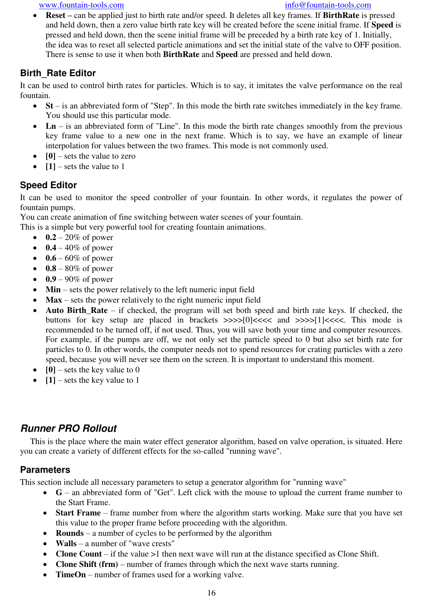**Reset** – can be applied just to birth rate and/or speed. It deletes all key frames. If **BirthRate** is pressed and held down, then a zero value birth rate key will be created before the scene initial frame. If **Speed** is pressed and held down, then the scene initial frame will be preceded by a birth rate key of 1. Initially, the idea was to reset all selected particle animations and set the initial state of the valve to OFF position. There is sense to use it when both **BirthRate** and **Speed** are pressed and held down.

### **Birth\_Rate Editor**

It can be used to control birth rates for particles. Which is to say, it imitates the valve performance on the real fountain.

- **St** is an abbreviated form of "Step". In this mode the birth rate switches immediately in the key frame. You should use this particular mode.
- Ln is an abbreviated form of "Line". In this mode the birth rate changes smoothly from the previous key frame value to a new one in the next frame. Which is to say, we have an example of linear interpolation for values between the two frames. This mode is not commonly used.
- **[0]** sets the value to zero
- $[1]$  sets the value to 1

### **Speed Editor**

It can be used to monitor the speed controller of your fountain. In other words, it regulates the power of fountain pumps.

You can create animation of fine switching between water scenes of your fountain.

This is a simple but very powerful tool for creating fountain animations.

- $\bullet$  0.2 20% of power
- $\bullet$  0.4 40% of power
- $\bullet$  0.6 60% of power
- $\bullet$  0.8 80% of power
- $\bullet$  0.9 90% of power
- **Min** sets the power relatively to the left numeric input field
- **Max** sets the power relatively to the right numeric input field
- **Auto Birth\_Rate** if checked, the program will set both speed and birth rate keys. If checked, the buttons for key setup are placed in brackets  $\gg$  $>$  $>$  $\gg$  $\sim$  $[0]$  <<<< and  $\gg$  $>$  $\gg$  $[1]$  <<<<. This mode is recommended to be turned off, if not used. Thus, you will save both your time and computer resources. For example, if the pumps are off, we not only set the particle speed to 0 but also set birth rate for particles to 0. In other words, the computer needs not to spend resources for crating particles with a zero speed, because you will never see them on the screen. It is important to understand this moment.
- $\bullet$  [0] sets the key value to 0
- $[1]$  sets the key value to 1

## *Runner PRO Rollout*

This is the place where the main water effect generator algorithm, based on valve operation, is situated. Here you can create a variety of different effects for the so-called "running wave".

### **Parameters**

This section include all necessary parameters to setup a generator algorithm for "running wave"

- **G** an abbreviated form of "Get". Left click with the mouse to upload the current frame number to the Start Frame.
- **Start Frame** frame number from where the algorithm starts working. Make sure that you have set this value to the proper frame before proceeding with the algorithm.
- **Rounds** a number of cycles to be performed by the algorithm
- **Walls** a number of "wave crests"
- **Clone Count** if the value >1 then next wave will run at the distance specified as Clone Shift.
- **Clone Shift (frm)** number of frames through which the next wave starts running.
- **TimeOn** number of frames used for a working valve.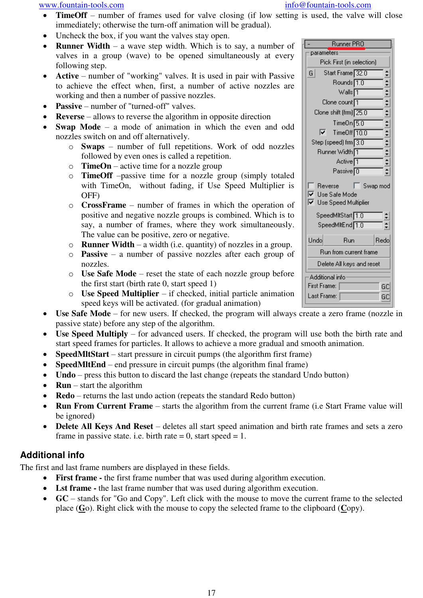- **TimeOff** number of frames used for valve closing (if low setting is used, the valve will close immediately; otherwise the turn-off animation will be gradual).
- Uncheck the box, if you want the valves stay open.
- **Runner Width** a wave step width. Which is to say, a number of valves in a group (wave) to be opened simultaneously at every following step.
- **Active** number of "working" valves. It is used in pair with Passive to achieve the effect when, first, a number of active nozzles are working and then a number of passive nozzles.
- **Passive** number of "turned-off" valves.
- **Reverse** allows to reverse the algorithm in opposite direction
- **Swap Mode** a mode of animation in which the even and odd nozzles switch on and off alternatively.
	- o **Swaps** number of full repetitions. Work of odd nozzles followed by even ones is called a repetition.
	- o **TimeOn** active time for a nozzle group
	- o **TimeOff** –passive time for a nozzle group (simply totaled with TimeOn, without fading, if Use Speed Multiplier is OFF)
	- o **CrossFrame** number of frames in which the operation of positive and negative nozzle groups is combined. Which is to say, a number of frames, where they work simultaneously. The value can be positive, zero or negative.
	- o **Runner Width** a width (i.e. quantity) of nozzles in a group.
	- o **Passive** a number of passive nozzles after each group of nozzles.
	- o **Use Safe Mode** reset the state of each nozzle group before the first start (birth rate 0, start speed 1)
	- o **Use Speed Multiplier** if checked, initial particle animation speed keys will be activated. (for gradual animation)
- **Use Safe Mode** for new users. If checked, the program will always create a zero frame (nozzle in passive state) before any step of the algorithm.
- **Use Speed Multiply** for advanced users. If checked, the program will use both the birth rate and start speed frames for particles. It allows to achieve a more gradual and smooth animation.
- **SpeedMltStart** start pressure in circuit pumps (the algorithm first frame)
- **SpeedMItEnd** end pressure in circuit pumps (the algorithm final frame)
- **Undo** press this button to discard the last change (repeats the standard Undo button)
- **Run** start the algorithm
- **Redo** returns the last undo action (repeats the standard Redo button)
- **Run From Current Frame** starts the algorithm from the current frame (i.e Start Frame value will be ignored)
- **Delete All Keys And Reset** deletes all start speed animation and birth rate frames and sets a zero frame in passive state. i.e. birth rate  $= 0$ , start speed  $= 1$ .

### **Additional info**

The first and last frame numbers are displayed in these fields.

- **First frame** the first frame number that was used during algorithm execution.
- **Lst frame** the last frame number that was used during algorithm execution.
- **GC** stands for "Go and Copy". Left click with the mouse to move the current frame to the selected place (**G**o). Right click with the mouse to copy the selected frame to the clipboard (**C**opy).

| Runner PRO                                                             |                      |
|------------------------------------------------------------------------|----------------------|
| parameters                                                             |                      |
| Pick First (in selection)                                              |                      |
| Start Frame 32.0<br> G                                                 | ÷                    |
| Rounds <sup>1.0</sup>                                                  |                      |
| Walls <sup>[1</sup>                                                    | $\frac{1}{1}$        |
| Clone count∏                                                           |                      |
| Clone shift (frm) 25.0                                                 | $\div$               |
| TimeOn 5.0                                                             | $\ddot{\phantom{1}}$ |
| TimeOff <sup>10.0</sup><br>U                                           | Ŧ                    |
| Step (speed) frm 3.0                                                   | $\div$               |
| Runner Width∏                                                          |                      |
| Active∏                                                                | $\frac{1}{2}$        |
|                                                                        |                      |
| Swap mod<br>Reverse<br>⊽<br>Use Safe Mode<br>⊽<br>Use Speed Multiplier |                      |
| SpeedMitStart <sup>[1.0]</sup>                                         | ÷                    |
| SpeedMltEnd <sup>1.0</sup>                                             | $\div$               |
| Undo<br>Run                                                            | Redo                 |
| Run from current frame                                                 |                      |
| Delete All keys and reset                                              |                      |
| Additional info                                                        |                      |
| First Frame:                                                           | GC                   |
| Last Frame:                                                            | GC                   |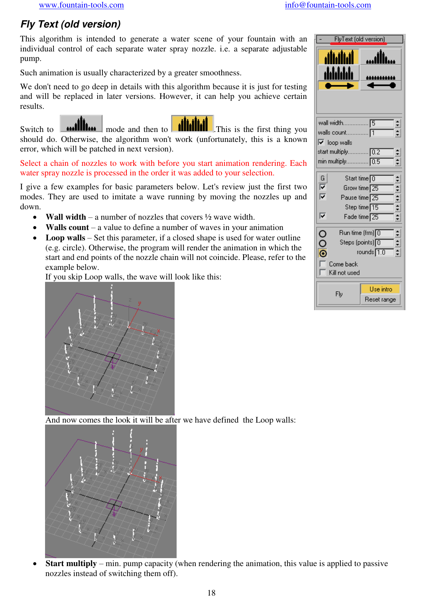# *Fly Text (old version)*

This algorithm is intended to generate a water scene of your fountain with an individual control of each separate water spray nozzle. i.e. a separate adjustable pump.

Such animation is usually characterized by a greater smoothness.

We don't need to go deep in details with this algorithm because it is just for testing and will be replaced in later versions. However, it can help you achieve certain results.

Switch to  $\sim$  **millim** mode and then to **illimities** This is the first thing you should do. Otherwise, the algorithm won't work (unfortunately, this is a known error, which will be patched in next version).

Select a chain of nozzles to work with before you start animation rendering. Each water spray nozzle is processed in the order it was added to your selection.

I give a few examples for basic parameters below. Let's review just the first two modes. They are used to imitate a wave running by moving the nozzles up and down.

- **Wall width** a number of nozzles that covers ½ wave width.
- **Walls count** a value to define a number of waves in your animation
- Loop walls Set this parameter, if a closed shape is used for water outline (e.g. circle). Otherwise, the program will render the animation in which the start and end points of the nozzle chain will not coincide. Please, refer to the example below.

If you skip Loop walls, the wave will look like this:

| FlyText (old version)                 |                                                                                                      |                                                             |  |  |  |
|---------------------------------------|------------------------------------------------------------------------------------------------------|-------------------------------------------------------------|--|--|--|
|                                       | أنناننان<br>dddddi                                                                                   | اللاب                                                       |  |  |  |
|                                       |                                                                                                      |                                                             |  |  |  |
|                                       | wall width                                                                                           | 15                                                          |  |  |  |
|                                       |                                                                                                      |                                                             |  |  |  |
| $\overline{\triangledown}$ loop walls |                                                                                                      |                                                             |  |  |  |
|                                       | start multiply 0.2                                                                                   |                                                             |  |  |  |
|                                       | min multiply 0.5                                                                                     |                                                             |  |  |  |
|                                       |                                                                                                      | Start time∏0                                                |  |  |  |
| $\frac{G}{ V }$                       |                                                                                                      | Grow time 25                                                |  |  |  |
|                                       | Pause time <sup>[25]</sup>                                                                           |                                                             |  |  |  |
|                                       |                                                                                                      | Step time <sup>15</sup>                                     |  |  |  |
| ⊽                                     |                                                                                                      | + <del>+</del> + + + + + + + +<br>Fade time <sup>[25]</sup> |  |  |  |
|                                       |                                                                                                      |                                                             |  |  |  |
|                                       | $\mathsf{Run}$ time (frm) $\boxed{0}$                                                                |                                                             |  |  |  |
| $\frac{1}{2}$                         | $\frac{1}{2}$<br>$\mathsf{Steps}\left(\mathsf{points}\right)\fbox{\fbox{0}}$<br>rounds $\boxed{1.0}$ |                                                             |  |  |  |
|                                       |                                                                                                      |                                                             |  |  |  |
|                                       | Come back                                                                                            |                                                             |  |  |  |
|                                       | Kill not used                                                                                        |                                                             |  |  |  |
|                                       | Fly                                                                                                  | Use intro                                                   |  |  |  |



And now comes the look it will be after we have defined the Loop walls:



 **Start multiply** – min. pump capacity (when rendering the animation, this value is applied to passive nozzles instead of switching them off).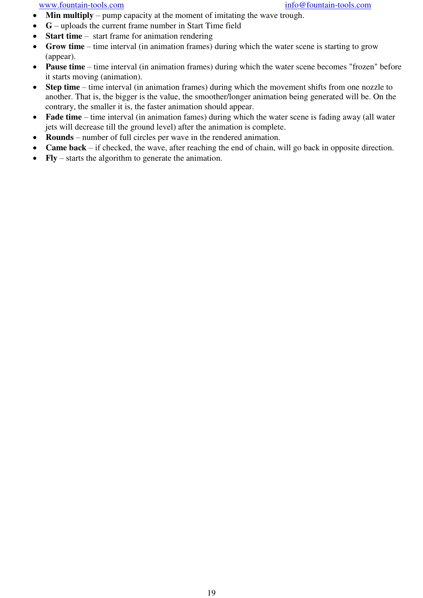- **Min multiply** pump capacity at the moment of imitating the wave trough.
- **G** uploads the current frame number in Start Time field
- **Start time** start frame for animation rendering
- **Grow time** time interval (in animation frames) during which the water scene is starting to grow (appear).
- **Pause time** time interval (in animation frames) during which the water scene becomes "frozen" before it starts moving (animation).
- **Step time** time interval (in animation frames) during which the movement shifts from one nozzle to another. That is, the bigger is the value, the smoother/longer animation being generated will be. On the contrary, the smaller it is, the faster animation should appear.
- **Fade time** time interval (in animation fames) during which the water scene is fading away (all water jets will decrease till the ground level) after the animation is complete.
- **Rounds** number of full circles per wave in the rendered animation.
- **Came back** if checked, the wave, after reaching the end of chain, will go back in opposite direction.
- **Fly**  starts the algorithm to generate the animation.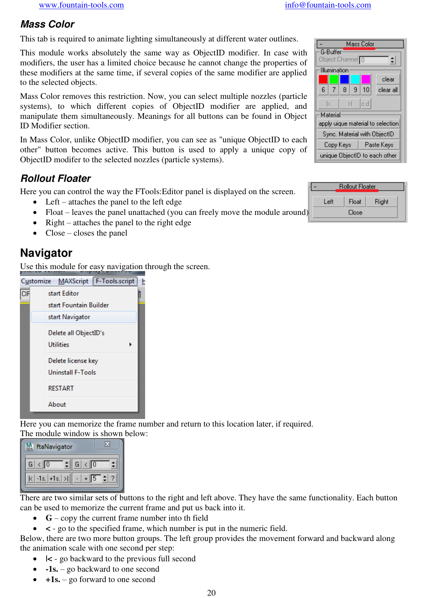## *Mass Color*

This tab is required to animate lighting simultaneously at different water outlines.

This module works absolutely the same way as ObjectID modifier. In case with modifiers, the user has a limited choice because he cannot change the properties of these modifiers at the same time, if several copies of the same modifier are applied to the selected objects.

Mass Color removes this restriction. Now, you can select multiple nozzles (particle systems), to which different copies of ObjectID modifier are applied, and manipulate them simultaneously. Meanings for all buttons can be found in Object ID Modifier section.

In Mass Color, unlike ObjectID modifier, you can see as "unique ObjectID to each other" button becomes active. This button is used to apply a unique copy of ObjectID modifer to the selected nozzles (particle systems).

## *Rollout Floater*

Here you can control the way the FTools:Editor panel is displayed on the screen.

- Left attaches the panel to the left edge
- Float leaves the panel unattached (you can freely move the module around)
- Right attaches the panel to the right edge
- $\bullet$  Close closes the panel

# **Navigator**

Use this module for easy navigation through the screen.

|     |                 | Customize MAXScript   F-Tools.script           | ŀ |  |  |  |  |  |
|-----|-----------------|------------------------------------------------|---|--|--|--|--|--|
| CIF |                 | start Editor                                   |   |  |  |  |  |  |
|     |                 | start Fountain Builder                         |   |  |  |  |  |  |
|     | start Navigator |                                                |   |  |  |  |  |  |
|     |                 | Delete all ObjectID's<br><b>Utilities</b>      |   |  |  |  |  |  |
|     |                 | Delete license key<br><b>Uninstall F-Tools</b> |   |  |  |  |  |  |
|     |                 | <b>RESTART</b>                                 |   |  |  |  |  |  |
|     |                 | About                                          |   |  |  |  |  |  |

Here you can memorize the frame number and return to this location later, if required. The module window is shown below:

| ftaNavigator      |                           |
|-------------------|---------------------------|
|                   | $\langle \cdot  $ 0<br>GТ |
| $-1s.$ $+1s.$ $>$ |                           |

There are two similar sets of buttons to the right and left above. They have the same functionality. Each button can be used to memorize the current frame and put us back into it.

- **G** copy the current frame number into the field
- **<** go to the specified frame, which number is put in the numeric field.

Below, there are two more button groups. The left group provides the movement forward and backward along the animation scale with one second per step:

- **|<** go backward to the previous full second
- **-1s.** go backward to one second
- **+1s.** go forward to one second

| Mass Color                        |                             |   |    |           |  |  |
|-----------------------------------|-----------------------------|---|----|-----------|--|--|
| <b>G-Buffer</b>                   |                             |   |    |           |  |  |
|                                   | Object Channel <sup>O</sup> |   |    |           |  |  |
| Illumination                      |                             |   |    |           |  |  |
|                                   |                             |   |    | clear     |  |  |
| ĥ                                 | 8.<br>7                     | 9 | 10 | clear all |  |  |
| c.d.<br>k<br>Ы                    |                             |   |    |           |  |  |
|                                   | Material                    |   |    |           |  |  |
| apply uique material to selection |                             |   |    |           |  |  |
| Sync. Material with ObjectID      |                             |   |    |           |  |  |
| Copy Keys<br>Paste Keys           |                             |   |    |           |  |  |
| unique ObjectID to each other     |                             |   |    |           |  |  |

|      | <b>Rollout Floater</b> |       |  |
|------|------------------------|-------|--|
| Left | Float                  | Right |  |
|      | Close                  |       |  |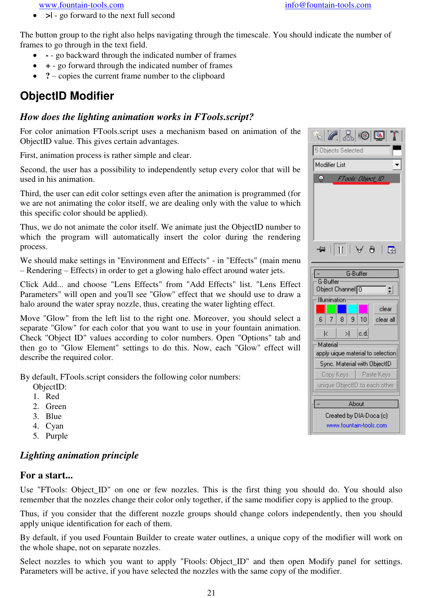**>|** - go forward to the next full second

The button group to the right also helps navigating through the timescale. You should indicate the number of frames to go through in the text field.

- go backward through the indicated number of frames
- **+** go forward through the indicated number of frames
- ? copies the current frame number to the clipboard

# **ObjectID Modifier**

#### *How does the lighting animation works in FTools.script?*

For color animation FTools.script uses a mechanism based on animation of the ObjectID value. This gives certain advantages.

First, animation process is rather simple and clear.

Second, the user has a possibility to independently setup every color that will be used in his animation.

Third, the user can edit color settings even after the animation is programmed (for we are not animating the color itself, we are dealing only with the value to which this specific color should be applied).

Thus, we do not animate the color itself. We animate just the ObjectID number to which the program will automatically insert the color during the rendering process.

We should make settings in "Environment and Effects" - in "Effects" (main menu – Rendering – Effects) in order to get a glowing halo effect around water jets.

Click Add... and choose "Lens Effects" from "Add Effects" list. "Lens Effect Parameters" will open and you'll see "Glow" effect that we should use to draw a halo around the water spray nozzle, thus, creating the water lighting effect.

Move "Glow" from the left list to the right one. Moreover, you should select a separate "Glow" for each color that you want to use in your fountain animation. Check "Object ID" values according to color numbers. Open "Options" tab and then go to "Glow Element" settings to do this. Now, each "Glow" effect will describe the required color.

By default, FTools.script considers the following color numbers:

- ObjectID:
- 1. Red
- 2. Green
- 3. Blue
- 4. Cyan
- 5. Purple

### *Lighting animation principle*

#### **For a start...**

Use "FTools: Object\_ID" on one or few nozzles. This is the first thing you should do. You should also remember that the nozzles change their color only together, if the same modifier copy is applied to the group.

Thus, if you consider that the different nozzle groups should change colors independently, then you should apply unique identification for each of them.

By default, if you used Fountain Builder to create water outlines, a unique copy of the modifier will work on the whole shape, not on separate nozzles.

Select nozzles to which you want to apply "Ftools: Object\_ID" and then open Modify panel for settings. Parameters will be active, if you have selected the nozzles with the same copy of the modifier.

| $ \mathscr{C} \mathbb{Z} $ $\mathbb{Z} \mathbb{Z} $ (0) $ \mathbb{Z} $ |  |  |  |
|------------------------------------------------------------------------|--|--|--|
| 5 Objects Selected                                                     |  |  |  |
| <b>Modifier List</b>                                                   |  |  |  |
| Ŷ<br>FTools: Object_ID                                                 |  |  |  |
|                                                                        |  |  |  |
| $\mathbb{H} \mathbb{H} \perp$<br>國<br>ð<br>ш                           |  |  |  |
| G-Buffer                                                               |  |  |  |
| G-Buffer                                                               |  |  |  |
| Object Channel $\boxed{0}$                                             |  |  |  |
| Illumination                                                           |  |  |  |
| clear                                                                  |  |  |  |
| 10<br>6<br>7<br>8<br>9<br>clear all                                    |  |  |  |
| c.d.<br>k<br>Ы                                                         |  |  |  |
| Material                                                               |  |  |  |
| apply uique material to selection                                      |  |  |  |
| Sync. Material with ObjectID                                           |  |  |  |
| Paste Keys<br>Copy Keys                                                |  |  |  |
| unique ObjectID to each other                                          |  |  |  |
| About                                                                  |  |  |  |
| Created by DIA-Doca (c)<br>www.fountain-tools.com                      |  |  |  |